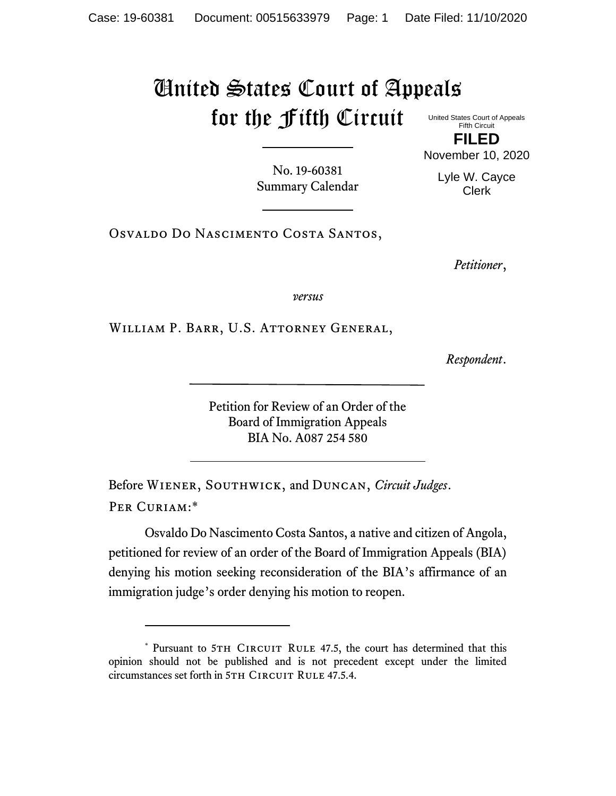## United States Court of Appeals for the Fifth Circuit

United States Court of Appeals Fifth Circuit

**FILED** November 10, 2020

No. 19-60381 Summary Calendar

Lyle W. Cayce Clerk

Osvaldo Do Nascimento Costa Santos,

*Petitioner*,

*versus*

William P. Barr, U.S. Attorney General,

*Respondent*.

Petition for Review of an Order of the Board of Immigration Appeals BIA No. A087 254 580

Before Wiener, Southwick, and Duncan, *Circuit Judges*. Per Curiam:\*

Osvaldo Do Nascimento Costa Santos, a native and citizen of Angola, petitioned for review of an order of the Board of Immigration Appeals (BIA) denying his motion seeking reconsideration of the BIA's affirmance of an immigration judge's order denying his motion to reopen.

<sup>\*</sup> Pursuant to 5TH CIRCUIT RULE 47.5, the court has determined that this opinion should not be published and is not precedent except under the limited circumstances set forth in 5TH CIRCUIT RULE 47.5.4.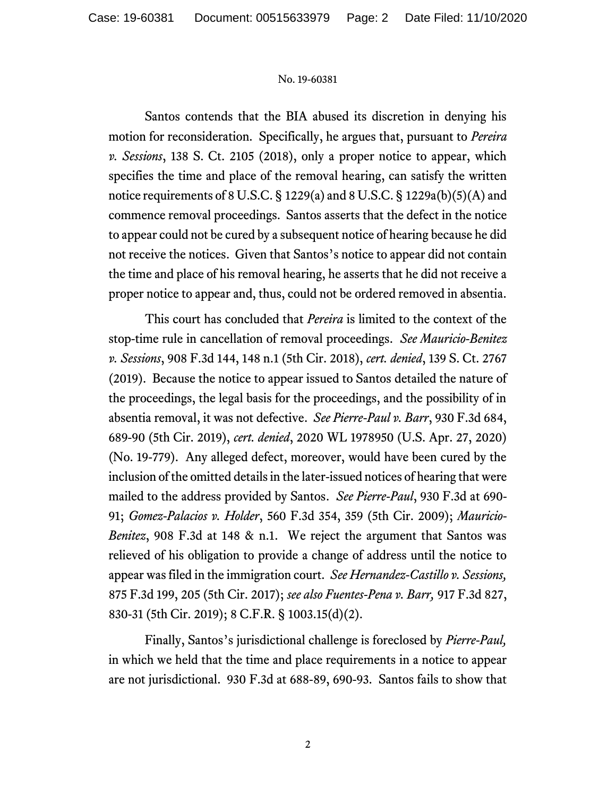## No. 19-60381

Santos contends that the BIA abused its discretion in denying his motion for reconsideration. Specifically, he argues that, pursuant to *Pereira v. Sessions*, 138 S. Ct. 2105 (2018), only a proper notice to appear, which specifies the time and place of the removal hearing, can satisfy the written notice requirements of 8 U.S.C. § 1229(a) and 8 U.S.C. § 1229a(b)(5)(A) and commence removal proceedings. Santos asserts that the defect in the notice to appear could not be cured by a subsequent notice of hearing because he did not receive the notices. Given that Santos's notice to appear did not contain the time and place of his removal hearing, he asserts that he did not receive a proper notice to appear and, thus, could not be ordered removed in absentia.

This court has concluded that *Pereira* is limited to the context of the stop-time rule in cancellation of removal proceedings. *See Mauricio-Benitez v. Sessions*, 908 F.3d 144, 148 n.1 (5th Cir. 2018), *cert. denied*, 139 S. Ct. 2767 (2019). Because the notice to appear issued to Santos detailed the nature of the proceedings, the legal basis for the proceedings, and the possibility of in absentia removal, it was not defective. *See Pierre-Paul v. Barr*, 930 F.3d 684, 689-90 (5th Cir. 2019), *cert. denied*, 2020 WL 1978950 (U.S. Apr. 27, 2020) (No. 19-779). Any alleged defect, moreover, would have been cured by the inclusion of the omitted details in the later-issued notices of hearing that were mailed to the address provided by Santos. *See Pierre-Paul*, 930 F.3d at 690- 91; *Gomez-Palacios v. Holder*, 560 F.3d 354, 359 (5th Cir. 2009); *Mauricio-Benitez*, 908 F.3d at 148 & n.1. We reject the argument that Santos was relieved of his obligation to provide a change of address until the notice to appear was filed in the immigration court. *See Hernandez-Castillo v. Sessions,*  875 F.3d 199, 205 (5th Cir. 2017); *see also Fuentes-Pena v. Barr,* 917 F.3d 827, 830-31 (5th Cir. 2019); 8 C.F.R. § 1003.15(d)(2).

Finally, Santos's jurisdictional challenge is foreclosed by *Pierre-Paul,*  in which we held that the time and place requirements in a notice to appear are not jurisdictional. 930 F.3d at 688-89, 690-93. Santos fails to show that